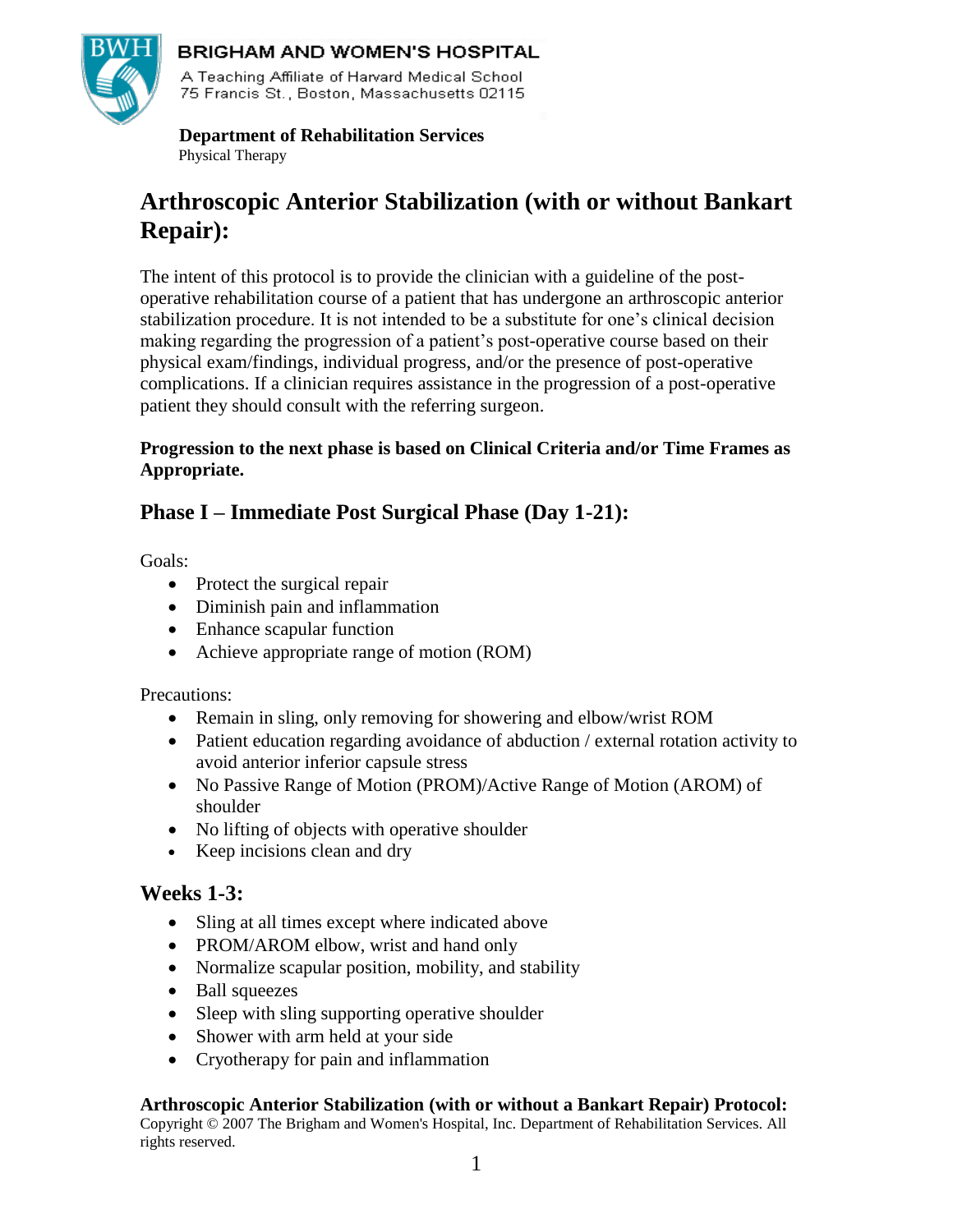

#### **BRIGHAM AND WOMEN'S HOSPITAL**

A Teaching Affiliate of Harvard Medical School 75 Francis St., Boston, Massachusetts 02115

 **Department of Rehabilitation Services** Physical Therapy

# **Arthroscopic Anterior Stabilization (with or without Bankart Repair):**

The intent of this protocol is to provide the clinician with a guideline of the postoperative rehabilitation course of a patient that has undergone an arthroscopic anterior stabilization procedure. It is not intended to be a substitute for one's clinical decision making regarding the progression of a patient's post-operative course based on their physical exam/findings, individual progress, and/or the presence of post-operative complications. If a clinician requires assistance in the progression of a post-operative patient they should consult with the referring surgeon.

#### **Progression to the next phase is based on Clinical Criteria and/or Time Frames as Appropriate.**

## **Phase I – Immediate Post Surgical Phase (Day 1-21):**

Goals:

- Protect the surgical repair
- Diminish pain and inflammation
- Enhance scapular function
- Achieve appropriate range of motion (ROM)

Precautions:

- Remain in sling, only removing for showering and elbow/wrist ROM
- Patient education regarding avoidance of abduction / external rotation activity to avoid anterior inferior capsule stress
- No Passive Range of Motion (PROM)/Active Range of Motion (AROM) of shoulder
- No lifting of objects with operative shoulder
- Keep incisions clean and dry

### **Weeks 1-3:**

- Sling at all times except where indicated above
- PROM/AROM elbow, wrist and hand only
- Normalize scapular position, mobility, and stability
- Ball squeezes
- Sleep with sling supporting operative shoulder
- Shower with arm held at your side
- Cryotherapy for pain and inflammation

#### **Arthroscopic Anterior Stabilization (with or without a Bankart Repair) Protocol:**

Copyright © 2007 The Brigham and Women's Hospital, Inc. Department of Rehabilitation Services. All rights reserved.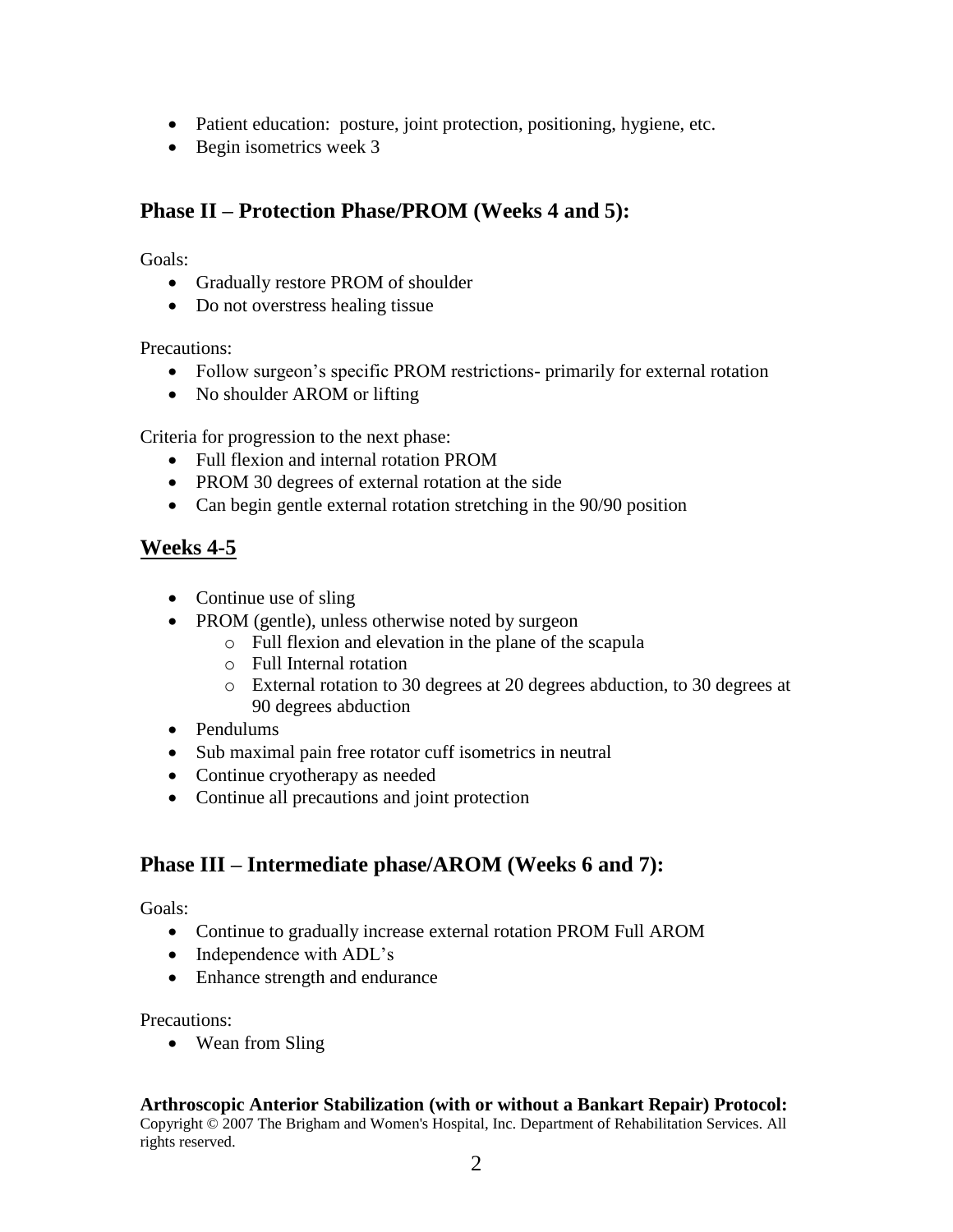- Patient education: posture, joint protection, positioning, hygiene, etc.
- $\bullet$  Begin isometrics week 3

### **Phase II – Protection Phase/PROM (Weeks 4 and 5):**

Goals:

- Gradually restore PROM of shoulder
- Do not overstress healing tissue

Precautions:

- Follow surgeon's specific PROM restrictions- primarily for external rotation
- No shoulder AROM or lifting

Criteria for progression to the next phase:

- Full flexion and internal rotation PROM
- PROM 30 degrees of external rotation at the side
- Can begin gentle external rotation stretching in the 90/90 position

### **Weeks 4-5**

- Continue use of sling
- PROM (gentle), unless otherwise noted by surgeon
	- o Full flexion and elevation in the plane of the scapula
	- o Full Internal rotation
	- o External rotation to 30 degrees at 20 degrees abduction, to 30 degrees at 90 degrees abduction
- Pendulums
- Sub maximal pain free rotator cuff isometrics in neutral
- Continue cryotherapy as needed
- Continue all precautions and joint protection

### **Phase III – Intermediate phase/AROM (Weeks 6 and 7):**

Goals:

- Continue to gradually increase external rotation PROM Full AROM
- Independence with ADL's
- Enhance strength and endurance

Precautions:

• Wean from Sling

#### **Arthroscopic Anterior Stabilization (with or without a Bankart Repair) Protocol:**

Copyright © 2007 The Brigham and Women's Hospital, Inc. Department of Rehabilitation Services. All rights reserved.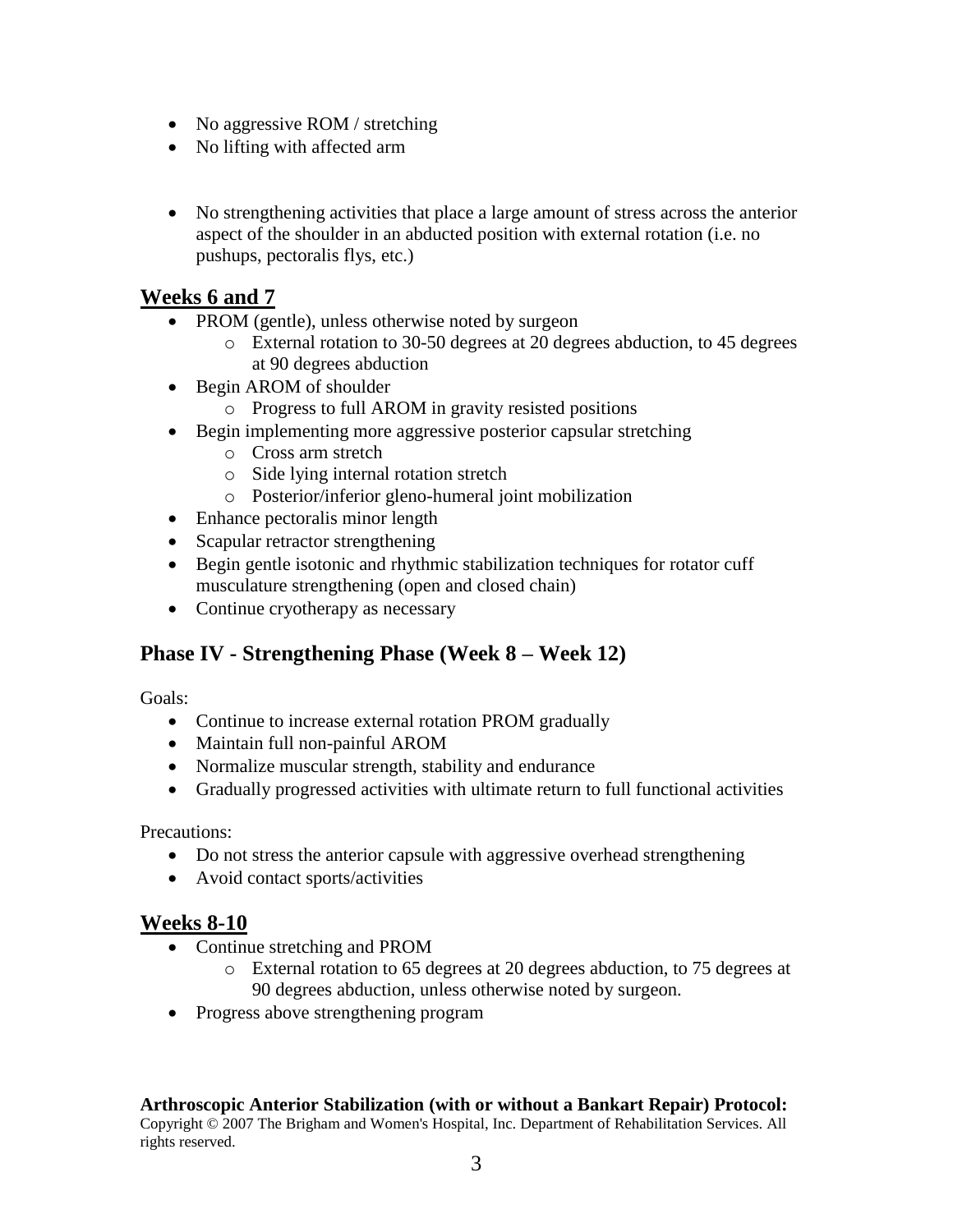- No aggressive ROM / stretching
- No lifting with affected arm
- No strengthening activities that place a large amount of stress across the anterior aspect of the shoulder in an abducted position with external rotation (i.e. no pushups, pectoralis flys, etc.)

#### **Weeks 6 and 7**

- PROM (gentle), unless otherwise noted by surgeon
	- o External rotation to 30-50 degrees at 20 degrees abduction, to 45 degrees at 90 degrees abduction
- Begin AROM of shoulder
	- o Progress to full AROM in gravity resisted positions
- Begin implementing more aggressive posterior capsular stretching
	- o Cross arm stretch
	- o Side lying internal rotation stretch
	- o Posterior/inferior gleno-humeral joint mobilization
- Enhance pectoralis minor length
- Scapular retractor strengthening
- Begin gentle isotonic and rhythmic stabilization techniques for rotator cuff musculature strengthening (open and closed chain)
- Continue cryotherapy as necessary

### **Phase IV - Strengthening Phase (Week 8 – Week 12)**

Goals:

- Continue to increase external rotation PROM gradually
- Maintain full non-painful AROM
- Normalize muscular strength, stability and endurance
- Gradually progressed activities with ultimate return to full functional activities

Precautions:

- Do not stress the anterior capsule with aggressive overhead strengthening
- Avoid contact sports/activities

### **Weeks 8-10**

- Continue stretching and PROM
	- o External rotation to 65 degrees at 20 degrees abduction, to 75 degrees at 90 degrees abduction, unless otherwise noted by surgeon.
- Progress above strengthening program

#### **Arthroscopic Anterior Stabilization (with or without a Bankart Repair) Protocol:** Copyright © 2007 The Brigham and Women's Hospital, Inc. Department of Rehabilitation Services. All rights reserved.